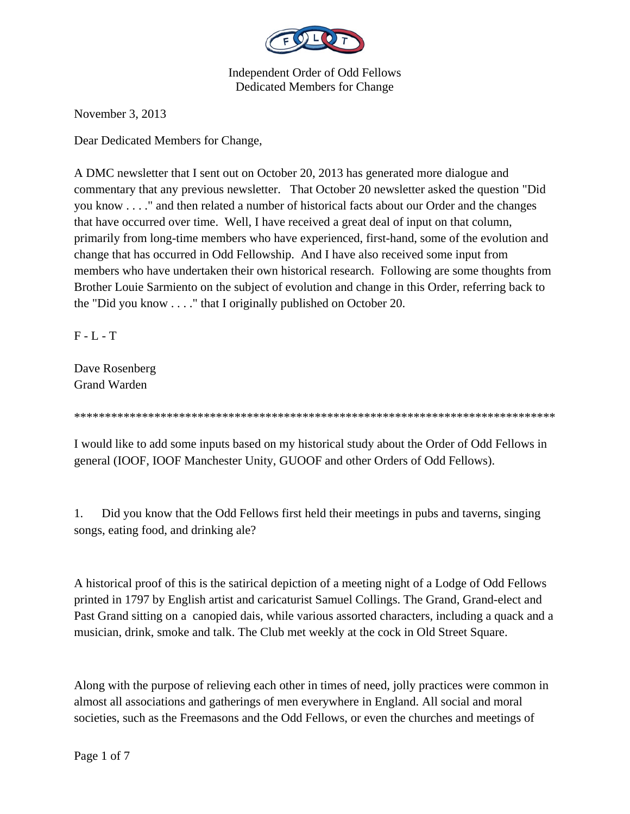

November 3, 2013

Dear Dedicated Members for Change,

A DMC newsletter that I sent out on October 20, 2013 has generated more dialogue and commentary that any previous newsletter. That October 20 newsletter asked the question "Did you know . . . ." and then related a number of historical facts about our Order and the changes that have occurred over time. Well, I have received a great deal of input on that column, primarily from long-time members who have experienced, first-hand, some of the evolution and change that has occurred in Odd Fellowship. And I have also received some input from members who have undertaken their own historical research. Following are some thoughts from Brother Louie Sarmiento on the subject of evolution and change in this Order, referring back to the "Did you know . . . ." that I originally published on October 20.

 $F - L - T$ 

Dave Rosenberg Grand Warden

\*\*\*\*\*\*\*\*\*\*\*\*\*\*\*\*\*\*\*\*\*\*\*\*\*\*\*\*\*\*\*\*\*\*\*\*\*\*\*\*\*\*\*\*\*\*\*\*\*\*\*\*\*\*\*\*\*\*\*\*\*\*\*\*\*\*\*\*\*\*\*\*\*\*\*\*\*\*

I would like to add some inputs based on my historical study about the Order of Odd Fellows in general (IOOF, IOOF Manchester Unity, GUOOF and other Orders of Odd Fellows).

1. Did you know that the Odd Fellows first held their meetings in pubs and taverns, singing songs, eating food, and drinking ale?

A historical proof of this is the satirical depiction of a meeting night of a Lodge of Odd Fellows printed in 1797 by English artist and caricaturist Samuel Collings. The Grand, Grand-elect and Past Grand sitting on a canopied dais, while various assorted characters, including a quack and a musician, drink, smoke and talk. The Club met weekly at the cock in Old Street Square.

Along with the purpose of relieving each other in times of need, jolly practices were common in almost all associations and gatherings of men everywhere in England. All social and moral societies, such as the Freemasons and the Odd Fellows, or even the churches and meetings of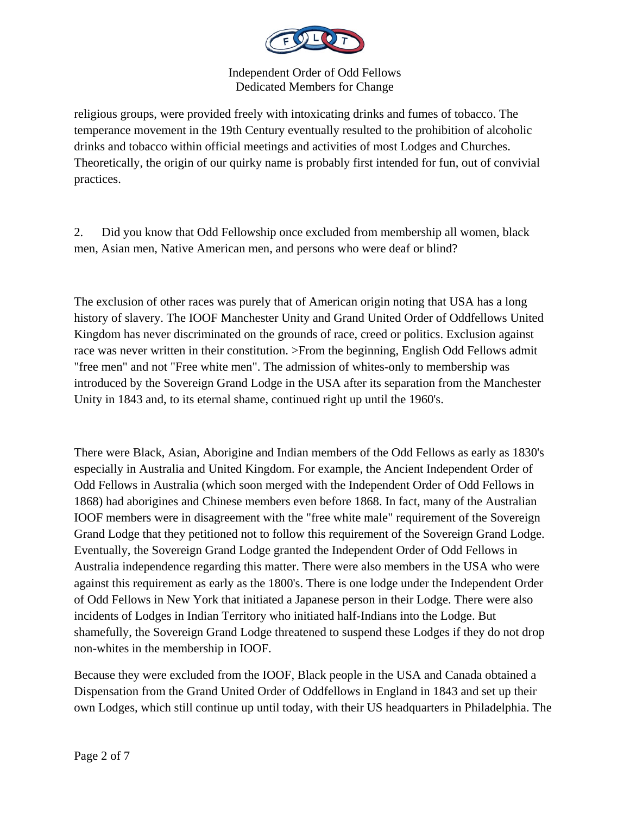

religious groups, were provided freely with intoxicating drinks and fumes of tobacco. The temperance movement in the 19th Century eventually resulted to the prohibition of alcoholic drinks and tobacco within official meetings and activities of most Lodges and Churches. Theoretically, the origin of our quirky name is probably first intended for fun, out of convivial practices.

2. Did you know that Odd Fellowship once excluded from membership all women, black men, Asian men, Native American men, and persons who were deaf or blind?

The exclusion of other races was purely that of American origin noting that USA has a long history of slavery. The IOOF Manchester Unity and Grand United Order of Oddfellows United Kingdom has never discriminated on the grounds of race, creed or politics. Exclusion against race was never written in their constitution. >From the beginning, English Odd Fellows admit "free men" and not "Free white men". The admission of whites-only to membership was introduced by the Sovereign Grand Lodge in the USA after its separation from the Manchester Unity in 1843 and, to its eternal shame, continued right up until the 1960's.

There were Black, Asian, Aborigine and Indian members of the Odd Fellows as early as 1830's especially in Australia and United Kingdom. For example, the Ancient Independent Order of Odd Fellows in Australia (which soon merged with the Independent Order of Odd Fellows in 1868) had aborigines and Chinese members even before 1868. In fact, many of the Australian IOOF members were in disagreement with the "free white male" requirement of the Sovereign Grand Lodge that they petitioned not to follow this requirement of the Sovereign Grand Lodge. Eventually, the Sovereign Grand Lodge granted the Independent Order of Odd Fellows in Australia independence regarding this matter. There were also members in the USA who were against this requirement as early as the 1800's. There is one lodge under the Independent Order of Odd Fellows in New York that initiated a Japanese person in their Lodge. There were also incidents of Lodges in Indian Territory who initiated half-Indians into the Lodge. But shamefully, the Sovereign Grand Lodge threatened to suspend these Lodges if they do not drop non-whites in the membership in IOOF.

Because they were excluded from the IOOF, Black people in the USA and Canada obtained a Dispensation from the Grand United Order of Oddfellows in England in 1843 and set up their own Lodges, which still continue up until today, with their US headquarters in Philadelphia. The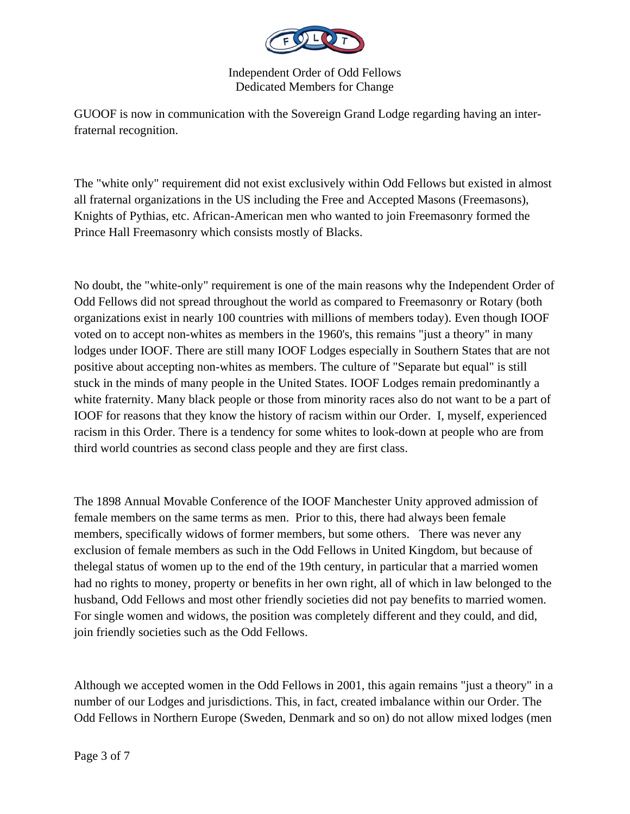

GUOOF is now in communication with the Sovereign Grand Lodge regarding having an interfraternal recognition.

The "white only" requirement did not exist exclusively within Odd Fellows but existed in almost all fraternal organizations in the US including the Free and Accepted Masons (Freemasons), Knights of Pythias, etc. African-American men who wanted to join Freemasonry formed the Prince Hall Freemasonry which consists mostly of Blacks.

No doubt, the "white-only" requirement is one of the main reasons why the Independent Order of Odd Fellows did not spread throughout the world as compared to Freemasonry or Rotary (both organizations exist in nearly 100 countries with millions of members today). Even though IOOF voted on to accept non-whites as members in the 1960's, this remains "just a theory" in many lodges under IOOF. There are still many IOOF Lodges especially in Southern States that are not positive about accepting non-whites as members. The culture of "Separate but equal" is still stuck in the minds of many people in the United States. IOOF Lodges remain predominantly a white fraternity. Many black people or those from minority races also do not want to be a part of IOOF for reasons that they know the history of racism within our Order. I, myself, experienced racism in this Order. There is a tendency for some whites to look-down at people who are from third world countries as second class people and they are first class.

The 1898 Annual Movable Conference of the IOOF Manchester Unity approved admission of female members on the same terms as men. Prior to this, there had always been female members, specifically widows of former members, but some others. There was never any exclusion of female members as such in the Odd Fellows in United Kingdom, but because of thelegal status of women up to the end of the 19th century, in particular that a married women had no rights to money, property or benefits in her own right, all of which in law belonged to the husband, Odd Fellows and most other friendly societies did not pay benefits to married women. For single women and widows, the position was completely different and they could, and did, join friendly societies such as the Odd Fellows.

Although we accepted women in the Odd Fellows in 2001, this again remains "just a theory" in a number of our Lodges and jurisdictions. This, in fact, created imbalance within our Order. The Odd Fellows in Northern Europe (Sweden, Denmark and so on) do not allow mixed lodges (men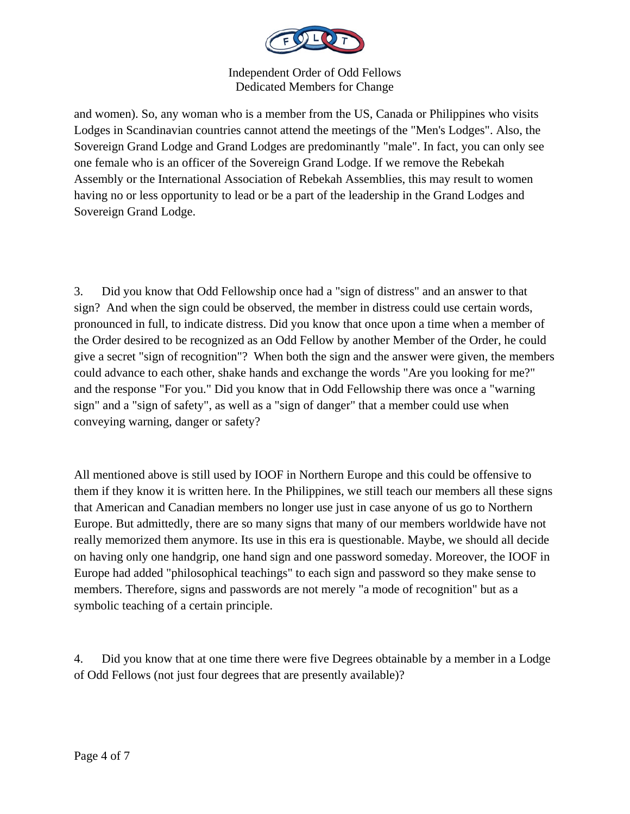

and women). So, any woman who is a member from the US, Canada or Philippines who visits Lodges in Scandinavian countries cannot attend the meetings of the "Men's Lodges". Also, the Sovereign Grand Lodge and Grand Lodges are predominantly "male". In fact, you can only see one female who is an officer of the Sovereign Grand Lodge. If we remove the Rebekah Assembly or the International Association of Rebekah Assemblies, this may result to women having no or less opportunity to lead or be a part of the leadership in the Grand Lodges and Sovereign Grand Lodge.

3. Did you know that Odd Fellowship once had a "sign of distress" and an answer to that sign? And when the sign could be observed, the member in distress could use certain words, pronounced in full, to indicate distress. Did you know that once upon a time when a member of the Order desired to be recognized as an Odd Fellow by another Member of the Order, he could give a secret "sign of recognition"? When both the sign and the answer were given, the members could advance to each other, shake hands and exchange the words "Are you looking for me?" and the response "For you." Did you know that in Odd Fellowship there was once a "warning sign" and a "sign of safety", as well as a "sign of danger" that a member could use when conveying warning, danger or safety?

All mentioned above is still used by IOOF in Northern Europe and this could be offensive to them if they know it is written here. In the Philippines, we still teach our members all these signs that American and Canadian members no longer use just in case anyone of us go to Northern Europe. But admittedly, there are so many signs that many of our members worldwide have not really memorized them anymore. Its use in this era is questionable. Maybe, we should all decide on having only one handgrip, one hand sign and one password someday. Moreover, the IOOF in Europe had added "philosophical teachings" to each sign and password so they make sense to members. Therefore, signs and passwords are not merely "a mode of recognition" but as a symbolic teaching of a certain principle.

4. Did you know that at one time there were five Degrees obtainable by a member in a Lodge of Odd Fellows (not just four degrees that are presently available)?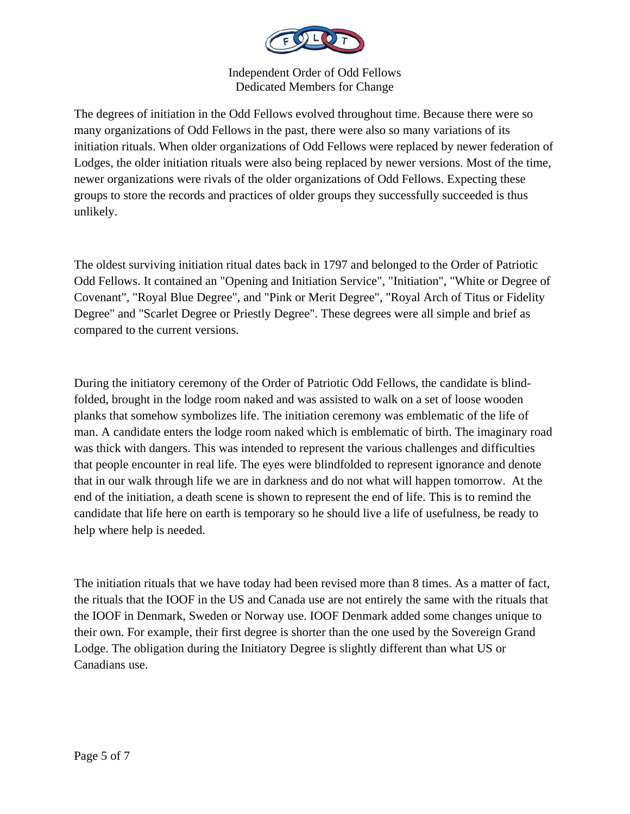

The degrees of initiation in the Odd Fellows evolved throughout time. Because there were so many organizations of Odd Fellows in the past, there were also so many variations of its initiation rituals. When older organizations of Odd Fellows were replaced by newer federation of Lodges, the older initiation rituals were also being replaced by newer versions. Most of the time, newer organizations were rivals of the older organizations of Odd Fellows. Expecting these groups to store the records and practices of older groups they successfully succeeded is thus unlikely.

The oldest surviving initiation ritual dates back in 1797 and belonged to the Order of Patriotic Odd Fellows. It contained an "Opening and Initiation Service", "Initiation", "White or Degree of Covenant", "Royal Blue Degree", and "Pink or Merit Degree", "Royal Arch of Titus or Fidelity Degree" and "Scarlet Degree or Priestly Degree". These degrees were all simple and brief as compared to the current versions.

During the initiatory ceremony of the Order of Patriotic Odd Fellows, the candidate is blindfolded, brought in the lodge room naked and was assisted to walk on a set of loose wooden planks that somehow symbolizes life. The initiation ceremony was emblematic of the life of man. A candidate enters the lodge room naked which is emblematic of birth. The imaginary road was thick with dangers. This was intended to represent the various challenges and difficulties that people encounter in real life. The eyes were blindfolded to represent ignorance and denote that in our walk through life we are in darkness and do not what will happen tomorrow. At the end of the initiation, a death scene is shown to represent the end of life. This is to remind the candidate that life here on earth is temporary so he should live a life of usefulness, be ready to help where help is needed.

The initiation rituals that we have today had been revised more than 8 times. As a matter of fact, the rituals that the IOOF in the US and Canada use are not entirely the same with the rituals that the IOOF in Denmark, Sweden or Norway use. IOOF Denmark added some changes unique to their own. For example, their first degree is shorter than the one used by the Sovereign Grand Lodge. The obligation during the Initiatory Degree is slightly different than what US or Canadians use.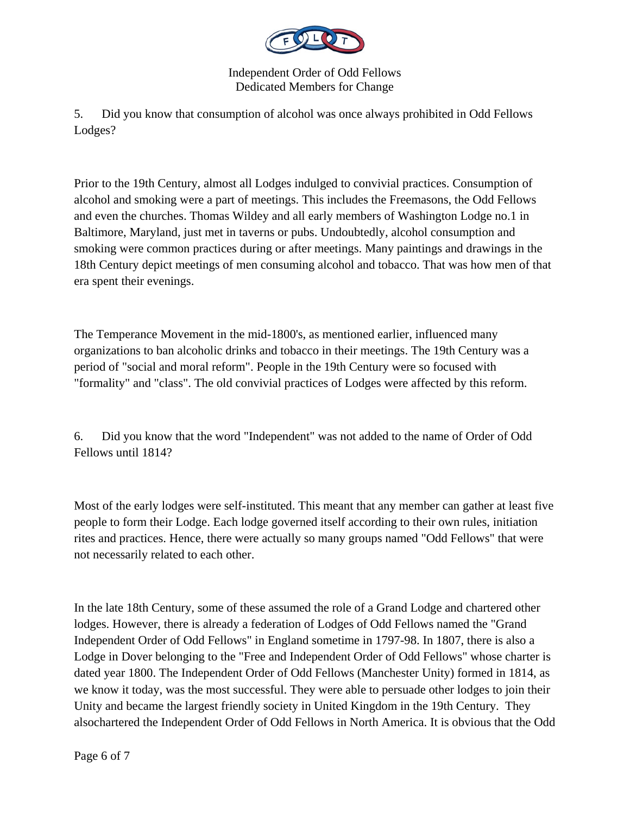

5. Did you know that consumption of alcohol was once always prohibited in Odd Fellows Lodges?

Prior to the 19th Century, almost all Lodges indulged to convivial practices. Consumption of alcohol and smoking were a part of meetings. This includes the Freemasons, the Odd Fellows and even the churches. Thomas Wildey and all early members of Washington Lodge no.1 in Baltimore, Maryland, just met in taverns or pubs. Undoubtedly, alcohol consumption and smoking were common practices during or after meetings. Many paintings and drawings in the 18th Century depict meetings of men consuming alcohol and tobacco. That was how men of that era spent their evenings.

The Temperance Movement in the mid-1800's, as mentioned earlier, influenced many organizations to ban alcoholic drinks and tobacco in their meetings. The 19th Century was a period of "social and moral reform". People in the 19th Century were so focused with "formality" and "class". The old convivial practices of Lodges were affected by this reform.

6. Did you know that the word "Independent" was not added to the name of Order of Odd Fellows until 1814?

Most of the early lodges were self-instituted. This meant that any member can gather at least five people to form their Lodge. Each lodge governed itself according to their own rules, initiation rites and practices. Hence, there were actually so many groups named "Odd Fellows" that were not necessarily related to each other.

In the late 18th Century, some of these assumed the role of a Grand Lodge and chartered other lodges. However, there is already a federation of Lodges of Odd Fellows named the "Grand Independent Order of Odd Fellows" in England sometime in 1797-98. In 1807, there is also a Lodge in Dover belonging to the "Free and Independent Order of Odd Fellows" whose charter is dated year 1800. The Independent Order of Odd Fellows (Manchester Unity) formed in 1814, as we know it today, was the most successful. They were able to persuade other lodges to join their Unity and became the largest friendly society in United Kingdom in the 19th Century. They alsochartered the Independent Order of Odd Fellows in North America. It is obvious that the Odd